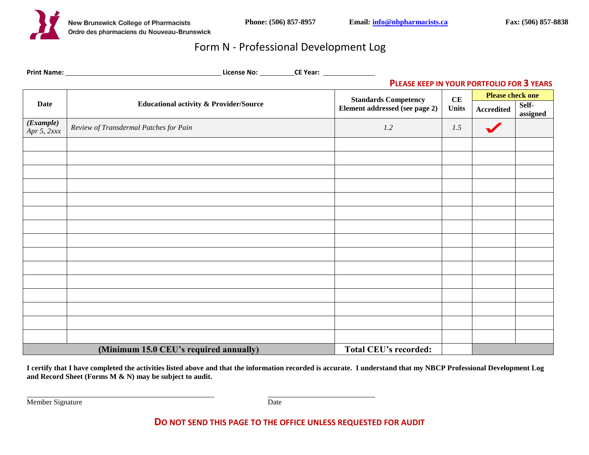

# Form N - Professional Development Log

|                                                                        |                                                   | PLEASE KEEP IN YOUR PORTFOLIO FOR 3 YEARS |                    |                         |                   |
|------------------------------------------------------------------------|---------------------------------------------------|-------------------------------------------|--------------------|-------------------------|-------------------|
| <b>Date</b>                                                            | <b>Educational activity &amp; Provider/Source</b> | <b>Standards Competency</b>               | CE<br><b>Units</b> | <b>Please check one</b> |                   |
|                                                                        |                                                   | Element addressed (see page 2)            |                    | Accredited              | Self-<br>assigned |
| (Example)<br>Apr 5, $2xxx$                                             | Review of Transdermal Patches for Pain            | 1.2                                       | 1.5                | $\blacktriangledown$    |                   |
|                                                                        |                                                   |                                           |                    |                         |                   |
|                                                                        |                                                   |                                           |                    |                         |                   |
|                                                                        |                                                   |                                           |                    |                         |                   |
|                                                                        |                                                   |                                           |                    |                         |                   |
|                                                                        |                                                   |                                           |                    |                         |                   |
|                                                                        |                                                   |                                           |                    |                         |                   |
|                                                                        |                                                   |                                           |                    |                         |                   |
|                                                                        |                                                   |                                           |                    |                         |                   |
|                                                                        |                                                   |                                           |                    |                         |                   |
|                                                                        |                                                   |                                           |                    |                         |                   |
|                                                                        |                                                   |                                           |                    |                         |                   |
|                                                                        |                                                   |                                           |                    |                         |                   |
|                                                                        |                                                   |                                           |                    |                         |                   |
|                                                                        |                                                   |                                           |                    |                         |                   |
|                                                                        |                                                   |                                           |                    |                         |                   |
| (Minimum 15.0 CEU's required annually)<br><b>Total CEU's recorded:</b> |                                                   |                                           |                    |                         |                   |

**I certify that I have completed the activities listed above and that the information recorded is accurate. I understand that my NBCP Professional Development Log and Record Sheet (Forms M & N) may be subject to audit.** 

Member Signature Date